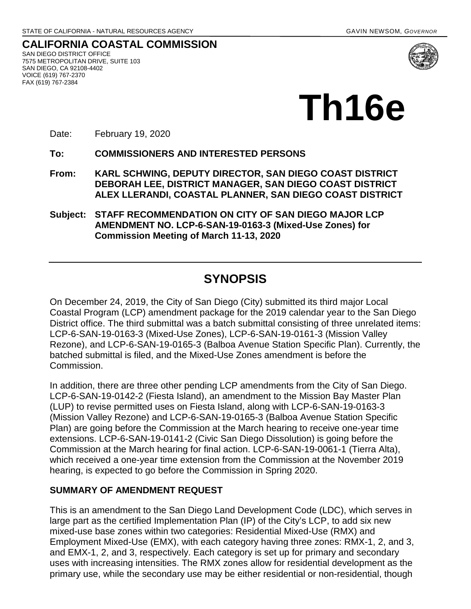**CALIFORNIA COASTAL COMMISSION** SAN DIEGO DISTRICT OFFICE 7575 METROPOLITAN DRIVE, SUITE 103 SAN DIEGO, CA 92108-4402 VOICE (619) 767-2370 FAX (619) 767-2384



Date: February 19, 2020

**To: COMMISSIONERS AND INTERESTED PERSONS** 

- **From: KARL SCHWING, DEPUTY DIRECTOR, SAN DIEGO COAST DISTRICT DEBORAH LEE, DISTRICT MANAGER, SAN DIEGO COAST DISTRICT ALEX LLERANDI, COASTAL PLANNER, SAN DIEGO COAST DISTRICT**
- **Subject: STAFF RECOMMENDATION ON CITY OF SAN DIEGO MAJOR LCP AMENDMENT NO. LCP-6-SAN-19-0163-3 (Mixed-Use Zones) for Commission Meeting of March 11-13, 2020**

# **SYNOPSIS**

On December 24, 2019, the City of San Diego (City) submitted its third major Local Coastal Program (LCP) amendment package for the 2019 calendar year to the San Diego District office. The third submittal was a batch submittal consisting of three unrelated items: LCP-6-SAN-19-0163-3 (Mixed-Use Zones), LCP-6-SAN-19-0161-3 (Mission Valley Rezone), and LCP-6-SAN-19-0165-3 (Balboa Avenue Station Specific Plan). Currently, the batched submittal is filed, and the Mixed-Use Zones amendment is before the Commission.

In addition, there are three other pending LCP amendments from the City of San Diego. LCP-6-SAN-19-0142-2 (Fiesta Island), an amendment to the Mission Bay Master Plan (LUP) to revise permitted uses on Fiesta Island, along with LCP-6-SAN-19-0163-3 (Mission Valley Rezone) and LCP-6-SAN-19-0165-3 (Balboa Avenue Station Specific Plan) are going before the Commission at the March hearing to receive one-year time extensions. LCP-6-SAN-19-0141-2 (Civic San Diego Dissolution) is going before the Commission at the March hearing for final action. LCP-6-SAN-19-0061-1 (Tierra Alta), which received a one-year time extension from the Commission at the November 2019 hearing, is expected to go before the Commission in Spring 2020.

### **SUMMARY OF AMENDMENT REQUEST**

This is an amendment to the San Diego Land Development Code (LDC), which serves in large part as the certified Implementation Plan (IP) of the City's LCP, to add six new mixed-use base zones within two categories: Residential Mixed-Use (RMX) and Employment Mixed-Use (EMX), with each category having three zones: RMX-1, 2, and 3, and EMX-1, 2, and 3, respectively. Each category is set up for primary and secondary uses with increasing intensities. The RMX zones allow for residential development as the primary use, while the secondary use may be either residential or non-residential, though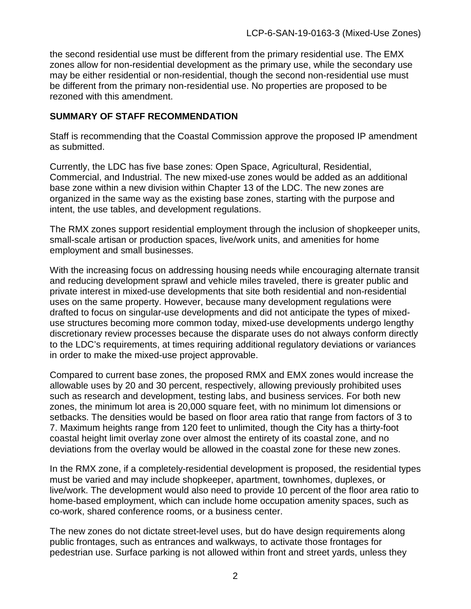the second residential use must be different from the primary residential use. The EMX zones allow for non-residential development as the primary use, while the secondary use may be either residential or non-residential, though the second non-residential use must be different from the primary non-residential use. No properties are proposed to be rezoned with this amendment.

### **SUMMARY OF STAFF RECOMMENDATION**

Staff is recommending that the Coastal Commission approve the proposed IP amendment as submitted.

Currently, the LDC has five base zones: Open Space, Agricultural, Residential, Commercial, and Industrial. The new mixed-use zones would be added as an additional base zone within a new division within Chapter 13 of the LDC. The new zones are organized in the same way as the existing base zones, starting with the purpose and intent, the use tables, and development regulations.

The RMX zones support residential employment through the inclusion of shopkeeper units, small-scale artisan or production spaces, live/work units, and amenities for home employment and small businesses.

With the increasing focus on addressing housing needs while encouraging alternate transit and reducing development sprawl and vehicle miles traveled, there is greater public and private interest in mixed-use developments that site both residential and non-residential uses on the same property. However, because many development regulations were drafted to focus on singular-use developments and did not anticipate the types of mixeduse structures becoming more common today, mixed-use developments undergo lengthy discretionary review processes because the disparate uses do not always conform directly to the LDC's requirements, at times requiring additional regulatory deviations or variances in order to make the mixed-use project approvable.

Compared to current base zones, the proposed RMX and EMX zones would increase the allowable uses by 20 and 30 percent, respectively, allowing previously prohibited uses such as research and development, testing labs, and business services. For both new zones, the minimum lot area is 20,000 square feet, with no minimum lot dimensions or setbacks. The densities would be based on floor area ratio that range from factors of 3 to 7. Maximum heights range from 120 feet to unlimited, though the City has a thirty-foot coastal height limit overlay zone over almost the entirety of its coastal zone, and no deviations from the overlay would be allowed in the coastal zone for these new zones.

In the RMX zone, if a completely-residential development is proposed, the residential types must be varied and may include shopkeeper, apartment, townhomes, duplexes, or live/work. The development would also need to provide 10 percent of the floor area ratio to home-based employment, which can include home occupation amenity spaces, such as co-work, shared conference rooms, or a business center.

The new zones do not dictate street-level uses, but do have design requirements along public frontages, such as entrances and walkways, to activate those frontages for pedestrian use. Surface parking is not allowed within front and street yards, unless they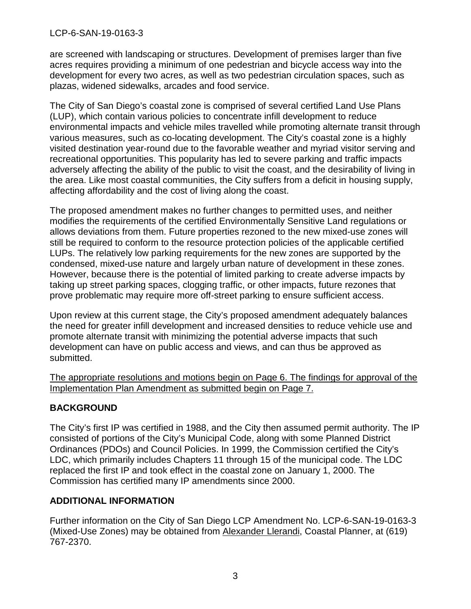### LCP-6-SAN-19-0163-3

are screened with landscaping or structures. Development of premises larger than five acres requires providing a minimum of one pedestrian and bicycle access way into the development for every two acres, as well as two pedestrian circulation spaces, such as plazas, widened sidewalks, arcades and food service.

The City of San Diego's coastal zone is comprised of several certified Land Use Plans (LUP), which contain various policies to concentrate infill development to reduce environmental impacts and vehicle miles travelled while promoting alternate transit through various measures, such as co-locating development. The City's coastal zone is a highly visited destination year-round due to the favorable weather and myriad visitor serving and recreational opportunities. This popularity has led to severe parking and traffic impacts adversely affecting the ability of the public to visit the coast, and the desirability of living in the area. Like most coastal communities, the City suffers from a deficit in housing supply, affecting affordability and the cost of living along the coast.

The proposed amendment makes no further changes to permitted uses, and neither modifies the requirements of the certified Environmentally Sensitive Land regulations or allows deviations from them. Future properties rezoned to the new mixed-use zones will still be required to conform to the resource protection policies of the applicable certified LUPs. The relatively low parking requirements for the new zones are supported by the condensed, mixed-use nature and largely urban nature of development in these zones. However, because there is the potential of limited parking to create adverse impacts by taking up street parking spaces, clogging traffic, or other impacts, future rezones that prove problematic may require more off-street parking to ensure sufficient access.

Upon review at this current stage, the City's proposed amendment adequately balances the need for greater infill development and increased densities to reduce vehicle use and promote alternate transit with minimizing the potential adverse impacts that such development can have on public access and views, and can thus be approved as submitted.

The appropriate resolutions and motions begin on Page 6. The findings for approval of the Implementation Plan Amendment as submitted begin on Page 7.

### **BACKGROUND**

The City's first IP was certified in 1988, and the City then assumed permit authority. The IP consisted of portions of the City's Municipal Code, along with some Planned District Ordinances (PDOs) and Council Policies. In 1999, the Commission certified the City's LDC, which primarily includes Chapters 11 through 15 of the municipal code. The LDC replaced the first IP and took effect in the coastal zone on January 1, 2000. The Commission has certified many IP amendments since 2000.

### **ADDITIONAL INFORMATION**

Further information on the City of San Diego LCP Amendment No. LCP-6-SAN-19-0163-3 (Mixed-Use Zones) may be obtained from Alexander Llerandi, Coastal Planner, at (619) 767-2370.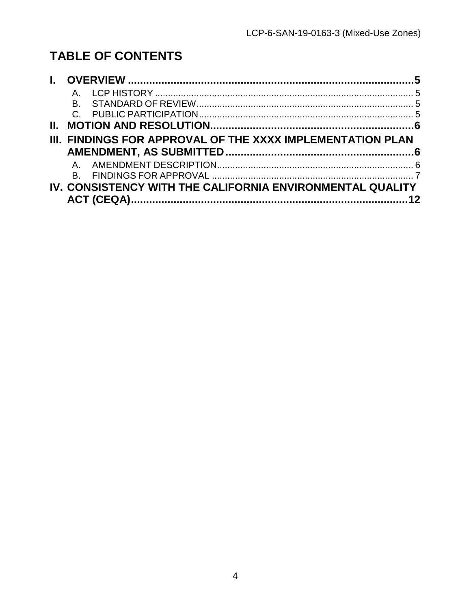# **TABLE OF CONTENTS**

| B. |                                                            |  |
|----|------------------------------------------------------------|--|
|    |                                                            |  |
|    |                                                            |  |
|    | III. FINDINGS FOR APPROVAL OF THE XXXX IMPLEMENTATION PLAN |  |
|    |                                                            |  |
|    |                                                            |  |
|    |                                                            |  |
|    | IV. CONSISTENCY WITH THE CALIFORNIA ENVIRONMENTAL QUALITY  |  |
|    |                                                            |  |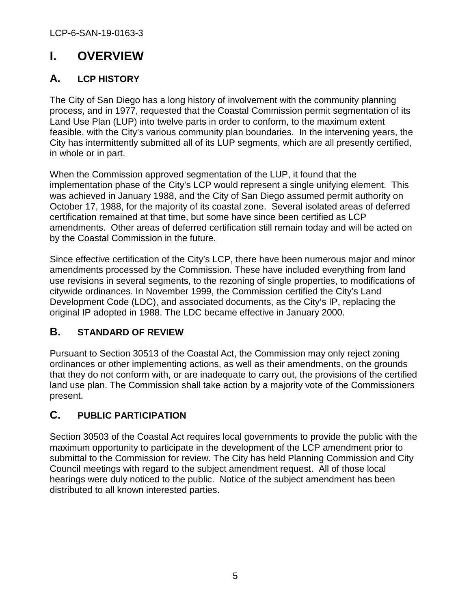# <span id="page-4-0"></span>**I. OVERVIEW**

## <span id="page-4-1"></span>**A. LCP HISTORY**

The City of San Diego has a long history of involvement with the community planning process, and in 1977, requested that the Coastal Commission permit segmentation of its Land Use Plan (LUP) into twelve parts in order to conform, to the maximum extent feasible, with the City's various community plan boundaries. In the intervening years, the City has intermittently submitted all of its LUP segments, which are all presently certified, in whole or in part.

When the Commission approved segmentation of the LUP, it found that the implementation phase of the City's LCP would represent a single unifying element. This was achieved in January 1988, and the City of San Diego assumed permit authority on October 17, 1988, for the majority of its coastal zone. Several isolated areas of deferred certification remained at that time, but some have since been certified as LCP amendments. Other areas of deferred certification still remain today and will be acted on by the Coastal Commission in the future.

Since effective certification of the City's LCP, there have been numerous major and minor amendments processed by the Commission. These have included everything from land use revisions in several segments, to the rezoning of single properties, to modifications of citywide ordinances. In November 1999, the Commission certified the City's Land Development Code (LDC), and associated documents, as the City's IP, replacing the original IP adopted in 1988. The LDC became effective in January 2000.

## <span id="page-4-2"></span>**B. STANDARD OF REVIEW**

Pursuant to Section 30513 of the Coastal Act, the Commission may only reject zoning ordinances or other implementing actions, as well as their amendments, on the grounds that they do not conform with, or are inadequate to carry out, the provisions of the certified land use plan. The Commission shall take action by a majority vote of the Commissioners present.

## <span id="page-4-3"></span>**C. PUBLIC PARTICIPATION**

Section 30503 of the Coastal Act requires local governments to provide the public with the maximum opportunity to participate in the development of the LCP amendment prior to submittal to the Commission for review. The City has held Planning Commission and City Council meetings with regard to the subject amendment request. All of those local hearings were duly noticed to the public. Notice of the subject amendment has been distributed to all known interested parties.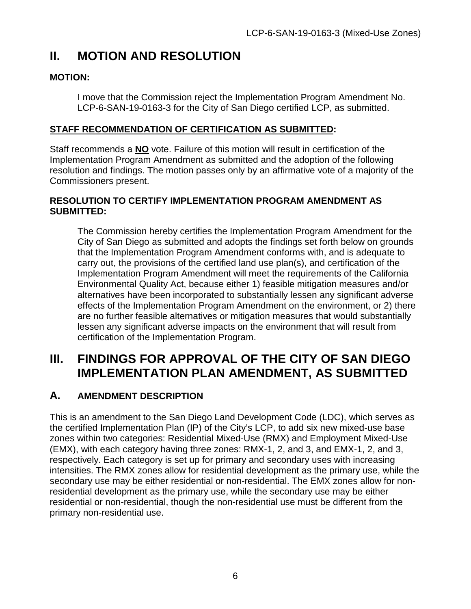# <span id="page-5-0"></span>**II. MOTION AND RESOLUTION**

### **MOTION:**

I move that the Commission reject the Implementation Program Amendment No. LCP-6-SAN-19-0163-3 for the City of San Diego certified LCP, as submitted.

### **STAFF RECOMMENDATION OF CERTIFICATION AS SUBMITTED:**

Staff recommends a **NO** vote. Failure of this motion will result in certification of the Implementation Program Amendment as submitted and the adoption of the following resolution and findings. The motion passes only by an affirmative vote of a majority of the Commissioners present.

#### **RESOLUTION TO CERTIFY IMPLEMENTATION PROGRAM AMENDMENT AS SUBMITTED:**

The Commission hereby certifies the Implementation Program Amendment for the City of San Diego as submitted and adopts the findings set forth below on grounds that the Implementation Program Amendment conforms with, and is adequate to carry out, the provisions of the certified land use plan(s), and certification of the Implementation Program Amendment will meet the requirements of the California Environmental Quality Act, because either 1) feasible mitigation measures and/or alternatives have been incorporated to substantially lessen any significant adverse effects of the Implementation Program Amendment on the environment, or 2) there are no further feasible alternatives or mitigation measures that would substantially lessen any significant adverse impacts on the environment that will result from certification of the Implementation Program.

# <span id="page-5-1"></span>**III. FINDINGS FOR APPROVAL OF THE CITY OF SAN DIEGO IMPLEMENTATION PLAN AMENDMENT, AS SUBMITTED**

### <span id="page-5-2"></span>**A. AMENDMENT DESCRIPTION**

This is an amendment to the San Diego Land Development Code (LDC), which serves as the certified Implementation Plan (IP) of the City's LCP, to add six new mixed-use base zones within two categories: Residential Mixed-Use (RMX) and Employment Mixed-Use (EMX), with each category having three zones: RMX-1, 2, and 3, and EMX-1, 2, and 3, respectively. Each category is set up for primary and secondary uses with increasing intensities. The RMX zones allow for residential development as the primary use, while the secondary use may be either residential or non-residential. The EMX zones allow for nonresidential development as the primary use, while the secondary use may be either residential or non-residential, though the non-residential use must be different from the primary non-residential use.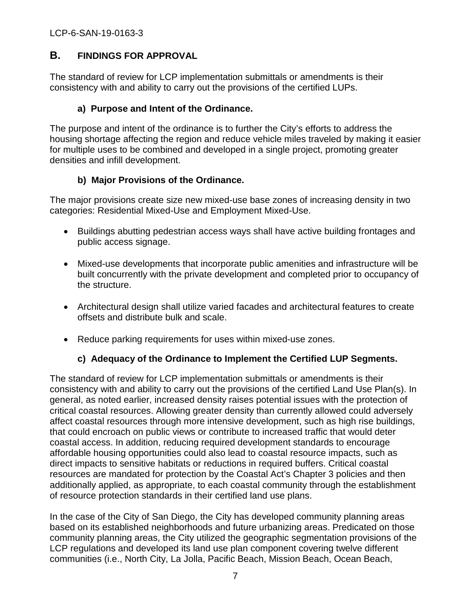### <span id="page-6-0"></span>**B. FINDINGS FOR APPROVAL**

The standard of review for LCP implementation submittals or amendments is their consistency with and ability to carry out the provisions of the certified LUPs.

### **a) Purpose and Intent of the Ordinance.**

The purpose and intent of the ordinance is to further the City's efforts to address the housing shortage affecting the region and reduce vehicle miles traveled by making it easier for multiple uses to be combined and developed in a single project, promoting greater densities and infill development.

### **b) Major Provisions of the Ordinance.**

The major provisions create size new mixed-use base zones of increasing density in two categories: Residential Mixed-Use and Employment Mixed-Use.

- Buildings abutting pedestrian access ways shall have active building frontages and public access signage.
- Mixed-use developments that incorporate public amenities and infrastructure will be built concurrently with the private development and completed prior to occupancy of the structure.
- Architectural design shall utilize varied facades and architectural features to create offsets and distribute bulk and scale.
- Reduce parking requirements for uses within mixed-use zones.

### **c) Adequacy of the Ordinance to Implement the Certified LUP Segments.**

The standard of review for LCP implementation submittals or amendments is their consistency with and ability to carry out the provisions of the certified Land Use Plan(s). In general, as noted earlier, increased density raises potential issues with the protection of critical coastal resources. Allowing greater density than currently allowed could adversely affect coastal resources through more intensive development, such as high rise buildings, that could encroach on public views or contribute to increased traffic that would deter coastal access. In addition, reducing required development standards to encourage affordable housing opportunities could also lead to coastal resource impacts, such as direct impacts to sensitive habitats or reductions in required buffers. Critical coastal resources are mandated for protection by the Coastal Act's Chapter 3 policies and then additionally applied, as appropriate, to each coastal community through the establishment of resource protection standards in their certified land use plans.

In the case of the City of San Diego, the City has developed community planning areas based on its established neighborhoods and future urbanizing areas. Predicated on those community planning areas, the City utilized the geographic segmentation provisions of the LCP regulations and developed its land use plan component covering twelve different communities (i.e., North City, La Jolla, Pacific Beach, Mission Beach, Ocean Beach,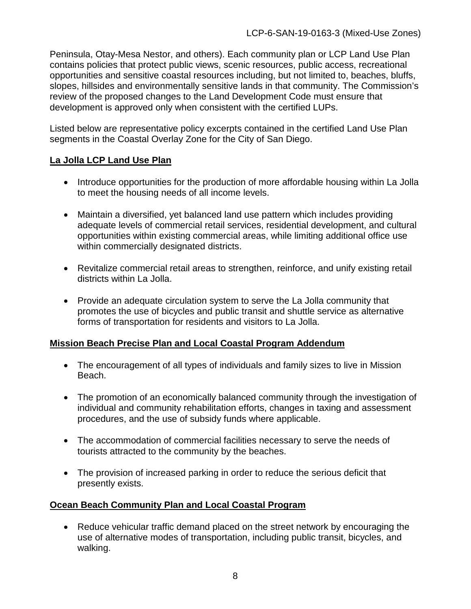Peninsula, Otay-Mesa Nestor, and others). Each community plan or LCP Land Use Plan contains policies that protect public views, scenic resources, public access, recreational opportunities and sensitive coastal resources including, but not limited to, beaches, bluffs, slopes, hillsides and environmentally sensitive lands in that community. The Commission's review of the proposed changes to the Land Development Code must ensure that development is approved only when consistent with the certified LUPs.

Listed below are representative policy excerpts contained in the certified Land Use Plan segments in the Coastal Overlay Zone for the City of San Diego.

### **La Jolla LCP Land Use Plan**

- Introduce opportunities for the production of more affordable housing within La Jolla to meet the housing needs of all income levels.
- Maintain a diversified, yet balanced land use pattern which includes providing adequate levels of commercial retail services, residential development, and cultural opportunities within existing commercial areas, while limiting additional office use within commercially designated districts.
- Revitalize commercial retail areas to strengthen, reinforce, and unify existing retail districts within La Jolla.
- Provide an adequate circulation system to serve the La Jolla community that promotes the use of bicycles and public transit and shuttle service as alternative forms of transportation for residents and visitors to La Jolla.

### **Mission Beach Precise Plan and Local Coastal Program Addendum**

- The encouragement of all types of individuals and family sizes to live in Mission Beach.
- The promotion of an economically balanced community through the investigation of individual and community rehabilitation efforts, changes in taxing and assessment procedures, and the use of subsidy funds where applicable.
- The accommodation of commercial facilities necessary to serve the needs of tourists attracted to the community by the beaches.
- The provision of increased parking in order to reduce the serious deficit that presently exists.

### **Ocean Beach Community Plan and Local Coastal Program**

• Reduce vehicular traffic demand placed on the street network by encouraging the use of alternative modes of transportation, including public transit, bicycles, and walking.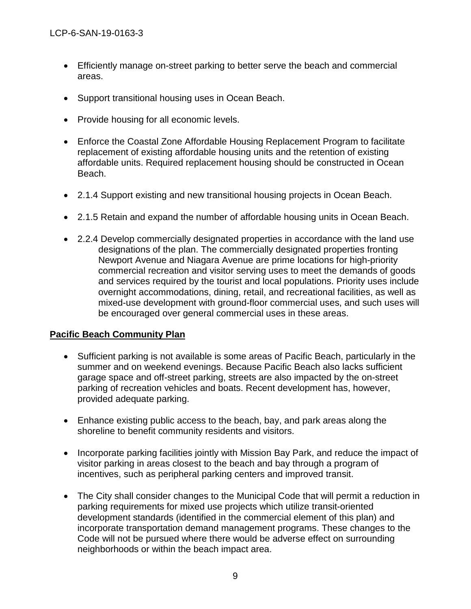- Efficiently manage on-street parking to better serve the beach and commercial areas.
- Support transitional housing uses in Ocean Beach.
- Provide housing for all economic levels.
- Enforce the Coastal Zone Affordable Housing Replacement Program to facilitate replacement of existing affordable housing units and the retention of existing affordable units. Required replacement housing should be constructed in Ocean Beach.
- 2.1.4 Support existing and new transitional housing projects in Ocean Beach.
- 2.1.5 Retain and expand the number of affordable housing units in Ocean Beach.
- 2.2.4 Develop commercially designated properties in accordance with the land use designations of the plan. The commercially designated properties fronting Newport Avenue and Niagara Avenue are prime locations for high-priority commercial recreation and visitor serving uses to meet the demands of goods and services required by the tourist and local populations. Priority uses include overnight accommodations, dining, retail, and recreational facilities, as well as mixed-use development with ground-floor commercial uses, and such uses will be encouraged over general commercial uses in these areas.

#### **Pacific Beach Community Plan**

- Sufficient parking is not available is some areas of Pacific Beach, particularly in the summer and on weekend evenings. Because Pacific Beach also lacks sufficient garage space and off-street parking, streets are also impacted by the on-street parking of recreation vehicles and boats. Recent development has, however, provided adequate parking.
- Enhance existing public access to the beach, bay, and park areas along the shoreline to benefit community residents and visitors.
- Incorporate parking facilities jointly with Mission Bay Park, and reduce the impact of visitor parking in areas closest to the beach and bay through a program of incentives, such as peripheral parking centers and improved transit.
- The City shall consider changes to the Municipal Code that will permit a reduction in parking requirements for mixed use projects which utilize transit-oriented development standards (identified in the commercial element of this plan) and incorporate transportation demand management programs. These changes to the Code will not be pursued where there would be adverse effect on surrounding neighborhoods or within the beach impact area.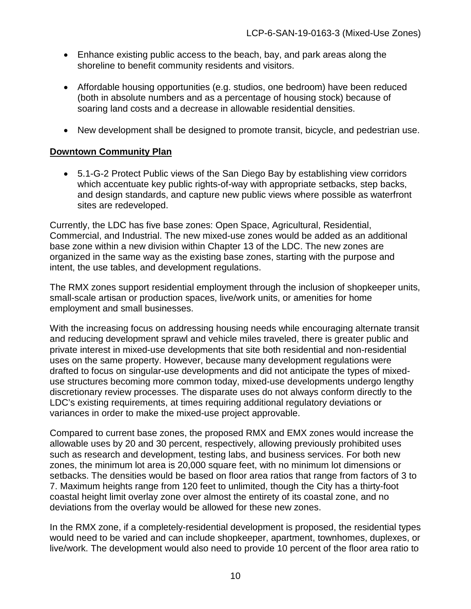- Enhance existing public access to the beach, bay, and park areas along the shoreline to benefit community residents and visitors.
- Affordable housing opportunities (e.g. studios, one bedroom) have been reduced (both in absolute numbers and as a percentage of housing stock) because of soaring land costs and a decrease in allowable residential densities.
- New development shall be designed to promote transit, bicycle, and pedestrian use.

#### **Downtown Community Plan**

• 5.1-G-2 Protect Public views of the San Diego Bay by establishing view corridors which accentuate key public rights-of-way with appropriate setbacks, step backs, and design standards, and capture new public views where possible as waterfront sites are redeveloped.

Currently, the LDC has five base zones: Open Space, Agricultural, Residential, Commercial, and Industrial. The new mixed-use zones would be added as an additional base zone within a new division within Chapter 13 of the LDC. The new zones are organized in the same way as the existing base zones, starting with the purpose and intent, the use tables, and development regulations.

The RMX zones support residential employment through the inclusion of shopkeeper units, small-scale artisan or production spaces, live/work units, or amenities for home employment and small businesses.

With the increasing focus on addressing housing needs while encouraging alternate transit and reducing development sprawl and vehicle miles traveled, there is greater public and private interest in mixed-use developments that site both residential and non-residential uses on the same property. However, because many development regulations were drafted to focus on singular-use developments and did not anticipate the types of mixeduse structures becoming more common today, mixed-use developments undergo lengthy discretionary review processes. The disparate uses do not always conform directly to the LDC's existing requirements, at times requiring additional regulatory deviations or variances in order to make the mixed-use project approvable.

Compared to current base zones, the proposed RMX and EMX zones would increase the allowable uses by 20 and 30 percent, respectively, allowing previously prohibited uses such as research and development, testing labs, and business services. For both new zones, the minimum lot area is 20,000 square feet, with no minimum lot dimensions or setbacks. The densities would be based on floor area ratios that range from factors of 3 to 7. Maximum heights range from 120 feet to unlimited, though the City has a thirty-foot coastal height limit overlay zone over almost the entirety of its coastal zone, and no deviations from the overlay would be allowed for these new zones.

In the RMX zone, if a completely-residential development is proposed, the residential types would need to be varied and can include shopkeeper, apartment, townhomes, duplexes, or live/work. The development would also need to provide 10 percent of the floor area ratio to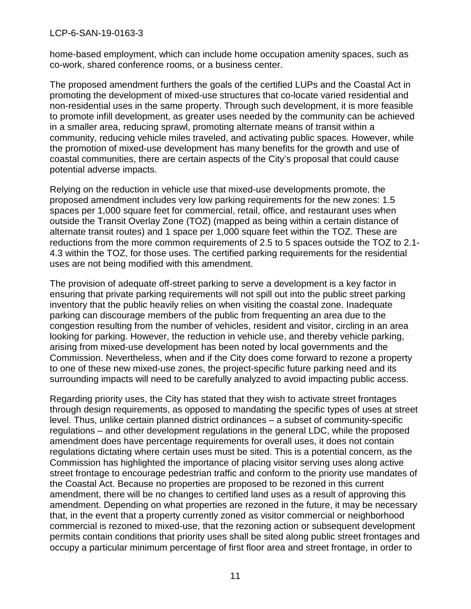#### LCP-6-SAN-19-0163-3

home-based employment, which can include home occupation amenity spaces, such as co-work, shared conference rooms, or a business center.

The proposed amendment furthers the goals of the certified LUPs and the Coastal Act in promoting the development of mixed-use structures that co-locate varied residential and non-residential uses in the same property. Through such development, it is more feasible to promote infill development, as greater uses needed by the community can be achieved in a smaller area, reducing sprawl, promoting alternate means of transit within a community, reducing vehicle miles traveled, and activating public spaces. However, while the promotion of mixed-use development has many benefits for the growth and use of coastal communities, there are certain aspects of the City's proposal that could cause potential adverse impacts.

Relying on the reduction in vehicle use that mixed-use developments promote, the proposed amendment includes very low parking requirements for the new zones: 1.5 spaces per 1,000 square feet for commercial, retail, office, and restaurant uses when outside the Transit Overlay Zone (TOZ) (mapped as being within a certain distance of alternate transit routes) and 1 space per 1,000 square feet within the TOZ. These are reductions from the more common requirements of 2.5 to 5 spaces outside the TOZ to 2.1- 4.3 within the TOZ, for those uses. The certified parking requirements for the residential uses are not being modified with this amendment.

The provision of adequate off-street parking to serve a development is a key factor in ensuring that private parking requirements will not spill out into the public street parking inventory that the public heavily relies on when visiting the coastal zone. Inadequate parking can discourage members of the public from frequenting an area due to the congestion resulting from the number of vehicles, resident and visitor, circling in an area looking for parking. However, the reduction in vehicle use, and thereby vehicle parking, arising from mixed-use development has been noted by local governments and the Commission. Nevertheless, when and if the City does come forward to rezone a property to one of these new mixed-use zones, the project-specific future parking need and its surrounding impacts will need to be carefully analyzed to avoid impacting public access.

Regarding priority uses, the City has stated that they wish to activate street frontages through design requirements, as opposed to mandating the specific types of uses at street level. Thus, unlike certain planned district ordinances – a subset of community-specific regulations – and other development regulations in the general LDC, while the proposed amendment does have percentage requirements for overall uses, it does not contain regulations dictating where certain uses must be sited. This is a potential concern, as the Commission has highlighted the importance of placing visitor serving uses along active street frontage to encourage pedestrian traffic and conform to the priority use mandates of the Coastal Act. Because no properties are proposed to be rezoned in this current amendment, there will be no changes to certified land uses as a result of approving this amendment. Depending on what properties are rezoned in the future, it may be necessary that, in the event that a property currently zoned as visitor commercial or neighborhood commercial is rezoned to mixed-use, that the rezoning action or subsequent development permits contain conditions that priority uses shall be sited along public street frontages and occupy a particular minimum percentage of first floor area and street frontage, in order to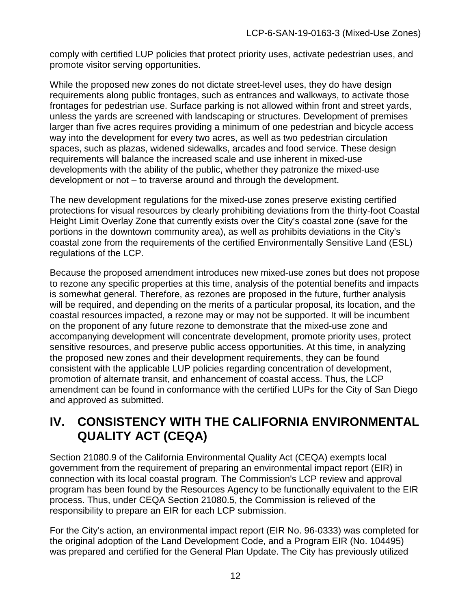comply with certified LUP policies that protect priority uses, activate pedestrian uses, and promote visitor serving opportunities.

While the proposed new zones do not dictate street-level uses, they do have design requirements along public frontages, such as entrances and walkways, to activate those frontages for pedestrian use. Surface parking is not allowed within front and street yards, unless the yards are screened with landscaping or structures. Development of premises larger than five acres requires providing a minimum of one pedestrian and bicycle access way into the development for every two acres, as well as two pedestrian circulation spaces, such as plazas, widened sidewalks, arcades and food service. These design requirements will balance the increased scale and use inherent in mixed-use developments with the ability of the public, whether they patronize the mixed-use development or not – to traverse around and through the development.

The new development regulations for the mixed-use zones preserve existing certified protections for visual resources by clearly prohibiting deviations from the thirty-foot Coastal Height Limit Overlay Zone that currently exists over the City's coastal zone (save for the portions in the downtown community area), as well as prohibits deviations in the City's coastal zone from the requirements of the certified Environmentally Sensitive Land (ESL) regulations of the LCP.

Because the proposed amendment introduces new mixed-use zones but does not propose to rezone any specific properties at this time, analysis of the potential benefits and impacts is somewhat general. Therefore, as rezones are proposed in the future, further analysis will be required, and depending on the merits of a particular proposal, its location, and the coastal resources impacted, a rezone may or may not be supported. It will be incumbent on the proponent of any future rezone to demonstrate that the mixed-use zone and accompanying development will concentrate development, promote priority uses, protect sensitive resources, and preserve public access opportunities. At this time, in analyzing the proposed new zones and their development requirements, they can be found consistent with the applicable LUP policies regarding concentration of development, promotion of alternate transit, and enhancement of coastal access. Thus, the LCP amendment can be found in conformance with the certified LUPs for the City of San Diego and approved as submitted.

# <span id="page-11-0"></span>**IV. CONSISTENCY WITH THE CALIFORNIA ENVIRONMENTAL QUALITY ACT (CEQA)**

Section 21080.9 of the California Environmental Quality Act (CEQA) exempts local government from the requirement of preparing an environmental impact report (EIR) in connection with its local coastal program. The Commission's LCP review and approval program has been found by the Resources Agency to be functionally equivalent to the EIR process. Thus, under CEQA Section 21080.5, the Commission is relieved of the responsibility to prepare an EIR for each LCP submission.

For the City's action, an environmental impact report (EIR No. 96-0333) was completed for the original adoption of the Land Development Code, and a Program EIR (No. 104495) was prepared and certified for the General Plan Update. The City has previously utilized